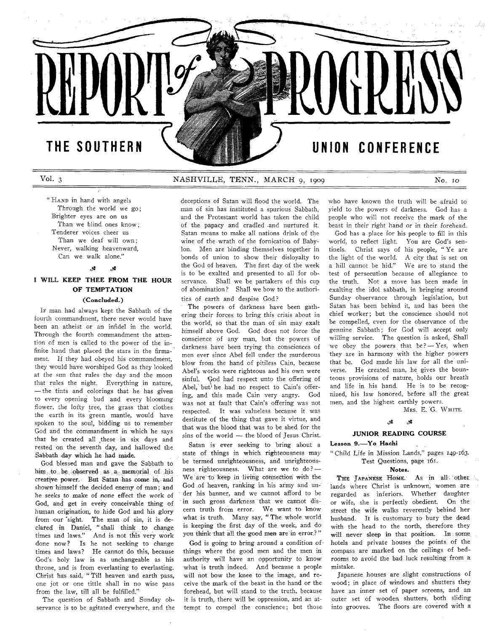# THE SOUTHERN

# Vol. 3 NASH VILLE, TENN., MARCH 9, 1909 No. 10

*1*

"HAND in hand with angels Through the world we go: Brighter eyes are on us Than we blind ones know; Tenderer voices cheer us Than we deaf will own; Never, walking heavenward, Can we walk alone."

#### ی. - 28

# 1 WILL **KEEP THEE FROM THE HOUR OF TEMPTATION**

# **(Concluded.)**

If man had always kept the Sabbath of the fourth commandment, there never would have been an atheist or an infidel in the world. Through the fourth commandment the attention of men is called to the power of the infinite hand that placed the stars in the firmament. If they had obeyed his commandment, they would have worshiped God as they looked at the sun that rules the day and the moon that rules the night. Everything in nature, — the tints and colorings that he has given to every opening bud and every blooming flower, the lofty tree, the grass that clothes the earth in its green mantle, would have spoken to the soul, bidding us to remember God and the commandment in which he says that he created all these in six days and rested on the seventh day, and hallowed the Sabbath day which he had made.

God blessed man and gave the Sabbath to him to be observed as a memorial of his creative power. But Satan has come in, and shown himself the decided enemy of man; and he seeks to make of *none* effect the work of God, and get in every conceivable thing of human origination, to hide God and his glory from our 'sight. The man ,of sin, it is declared in Daniel, "shall think to change times and laws." And is not this very work done now? Is he not seeking to change times and laws? He cannot do this, because God's holy law is as unchangeable as his throne, and is from everlasting to everlasting. Christ has said, " Till heaven and earth pass, one jot or one tittle shall in no wise pass from the law, till all be fulfilled."

The question of Sabbath and Sunday observance is to be agitated everywhere, and the

deceptions of Satan will flood the world. The man of sin has instituted a spurious Sabbath, and the Protestant world has taken the child of the papacy and cradled -and nurtured it. Satan means to make all nations drink of the wine of the wrath of the fornication of Babylon. Men are binding themselves together in bonds of union to show their disloyalty to the God of heaven. The first day of the week is to be exalted and presented to all for observance. Shall we be partakers of this cup of abomination ? Shall we bow to the authorities of earth and despise God?

The powers of darkness have been gathering their forces to bring this crisis about in the world, so that the man of sin may exalt himself above God. God does not force the conscience of any man, but the powers of darkness have been trying the consciences of men ever since Abel fell under the murderous blow from the hand of pitiless Cain, because Abel's works were righteous and his own were sinful. God had respect unto the offering of Abel, but he had no respect to Cain's offering, and this made Cain very angry. God was not at fault that Cain's offering was not respected. It was valueless because it was destitute of the thing that gave it virtue, and that was the blood that was to be shed for the sins of the world — the blood of Jesus Christ.

Satan is ever seeking to bring about a state of things in which righteousness may be termed unrighteousness, and unrighteousness righteousness. What are we to do? — We are to keep in living connection with the God .of heaven, ranking in his army and under his banner, and we cannot afford to be in such gross darkness that we cannot discern truth from error. We want to know what is truth. Many say, " The whole world is keeping the first day of the week, and do you think that all the good men are in error.? "

God is going to bring around a condition of things where the good men and the men in authority will have an opportunity to know what is truth indeed. And because a people will not bow the knee to the image, and receive the mark of the beast in the hand or the forehead, but will stand to the truth, because it is truth, there will be oppression, and an attempt to compel the conscience; but those

who have known the truth will be .afraid to yield to the powers of darkness. God has a people who will not receive the mark of the beast in their right hand or in their forehead.

UNION CONFERENCE

God has a place for his people to fill in this world, to reflect light. You are God's sentinels. Christ says of his people, " Ye are the light of the world. A city that is set on a hill cannot be hid." We are to stand the test of persecution because of allegiance to the truth. Not a move has been made in exalting the idol sabbath, in bringing around Sunday observance through legislation, but Satan has been behind it, and has been the chief worker; but the conscience should not be compelled, even for the observance of the genuine Sabbath; for God will accept only willing service. The question is asked, Shall we obey the powers that  $be? - Yes$ , when they are in harmony with the higher powers that be. God made his law for all the universe. He created man, he gives the bounteous provisions of nature, holds our breath and life in his hand. He is to be recognized, his law honored, before all the great men, and the highest earthly powers.

MRS. E. G. WHITE.

### تلار .e

## **JUNIOR READING COURSE**

## **Lesson 9.— Y o Hachi**

" Child Life in Mission Lands," pages 149-163. Test Questions, page 161.

# **Notes.**

THE JAPANESE HOME. As in all other lands where Christ is unknown, women are regarded as inferiors. Whether daughter or wife, she is perfectly obedient. On the street the wife walks reverently behind her husband. It is customary to bury the dead with the head to the north, therefore they will never sleep in that position. In some hotels and private houses the points of the compass are marked on the ceilings of bedrooms to avoid the bad luck resulting from a mistake.

Japanese houses are slight constructions of wood; in place of windows and shutters they have an inner set of paper screens, and an outer set of wooden shutters, both sliding into grooves. The floors are covered with a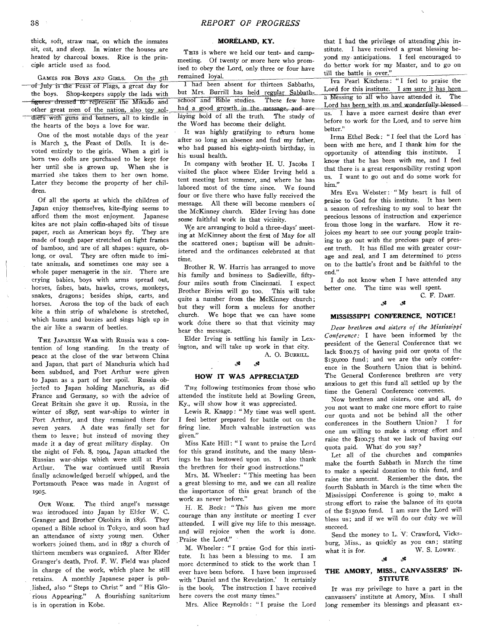thick, soft, straw mat, on which the inmates sit, eat, and sleep. In winter the houses are heated by charcoal boxes. Rice is the principle article used as food.

GAMES FOR BOYS AND GIRLS. On the 5th of July is the Feast of Flags, a great day for the boys. Shop-keepers supply the lads with figures dressed to represent the Mikado and other great men of the nation, also toy soldiers with guns and banners, all to kindle in the hearts of the boys a love for war.

One of the most notable days of the year is March 3, the Feast of Dolls. It is devoted entirely to the girls. When a girl is born two dolls are purchased to be kept for her until she is grown up. When she is married she takes them to her own home. Later they become the property of her children.

Of all the sports at which the children of Japan enjoy themselves, kite-flying seems to afford them the most enjoyment. Japanese kites are not plain coffin-shaped bits of tissue paper, such as American boys fly. They are made of tough paper stretched on light frames of bamboo, and are of all shapes: square, oblong, or oval. They are often made to imitate animals, and sometimes one may see a whole paper menagerie in the air. There are crying babies, boys with arms spread out, horses, fishes, bats, hawks, crows, monkeys, snakes, dragons; besides ships, carts, and horses. Across the top of the back of each kite a thin strip of whalebone is stretched, which hums and buzzes and sings high up in the air like a swarm of beetles.

THE JAPANESE WAR with Russia was a contention of long standing. In the treaty of peace at the close of the war between China and Japan, that part of Manchuria which had been subdued, and Port Arthur were given to Japan as a part of her spoil. Russia objected to Japan holding Manchuria, as did France and Germany, so with the advice of Great Britain she gave it up. Russia, in the winter of 1897, sent war-ships to winter in Port Arthur, and they remained there for seven years. A date was finally set for them to leave; but instead of moving they made it a day of great military display. On the night of Feb. 8, 1904, Japan attacked the Russian war-ships which were still at Port Arthur. The war continued until Russia finally acknowledged herself whipped, and the Portsmouth Peace was made in August of 1905-

OUR WORK. The third angel's message was introduced into Japan by Elder W. C. Granger and Brother Okohira in 1896. They opened a Bible school in Tokyo, and soon had an attendance of sixty young men. Other workers joined them, and in 1897 a church of thirteen members was organized. After Elder Granger's death, Prof. F. W. Field was placed in charge of the work, which place he still retains. A monthly Japanese paper is published, also " Steps to Christ" and " His Glorious Appearing." A flourishing sanitarium is in operation in Kobe.

# MORÉLAND, KY.

THIS is where we held our tent- and campmeeting. Of twenty or more here who promised to obey the Lord, only three or four have remained loyal.

I had been absent for thirteen Sabbaths, but Mrs. Burrill has held regular Sabbath-<br>school and Bible studies. These few have school and Bible studies. had a good growth in the message, and are laying hold of all the truth. The study of the Word has become their delight.

It was highly gratifying to return home after so long an absence and find my father, who had passed his eighty-ninth birthday, in his usual health.

In company with brother H. U. Jacobs I visited the place where Elder Irving held a tent meeting last summer, and where he has labored most of the time since. We found four or five there who have fully received the message. All these will become members of the McKinney church. Elder Irving has done some faithful work in that vicinity.

W<sub>e</sub> are arranging to hold a three-days' meeting at McKinney about the first of May for all the scattered ones; baptism will be administered and the ordinances celebrated at that time.

Brother R. W. Harris has arranged to move his family and business to Sadieville, fiftyfour miles south from Cincinnati. I expect Brother Bivins will go too. This will take quite a number from the McKinney church; but they will form a nucleus for another church. We hope that we can have some work done there so that that vicinity may hear the message.

Elder Irving is settling his family in Lexington, and will take up work in that city.

### $\mathcal{S}$ Š.

A. O. BURRILL.

### **HOW IT WAS APPRECIATED**

THE following testimonies from those who attended the institute held at Bowling Green, Ky., will show how it was appreciated.

Lewis R. Knapp: "My time was well spent. I feel better prepared for battle out on the firing line. Much valuable instruction was given."

Miss Kate Hill: "I want to praise the Lord for this grand institute, and the many blessings he has bestowed upon us. I also thank the brethren for their good instructions."

Mrs. M. Wheeler: "This meeting has been a great blessing to me, and we can all realize the importance of this great branch of the work as never before."

H. E. Beck : " This has given me more courage than any institute or meeting I ever attended. I will give my life to this message, and will rejoice when the work is done. Praise the Lord."

M. Wheeler : " I praise God for this institute. It has been a blessing to me. I am more determined to stick to the work than I ever have been before. I have been impressed with ' Daniel and the Revelation.' It certainly is the book. The instruction I have received here covers the cost many times."

Mrs. Alice Reynolds : " I praise the Lord

that I had the privilege of attending this institute. I have received a great blessing beyond my- anticipations. I feel encouraged to do better work for my Master, and to go on till the battle is over."

Iva Pearl Kitchens: " I feel to praise the Lord for this institute. I am sure it has been a blessing to all who have attended it. The Lord has been with us and wonderfully blessed us. I have a more earnest desire than ever before to work for the Lord, and to serve him better."

Irma Ethel Beck: " I feel that the Lord has been with me here, and I thank him for the opportunity of attending this institute. I know that he has been with me, and I feel that there is a great responsibility resting upon us. I want to go out and do some work for him."

Mrs Eva Webster: "My heart is full of praise to God for this institute. It has been a season of refreshing to my soul to hear the precious lessons of instruction and experience from those long in the warfare. How it rejoices my heart to see our young people training to go out with the precious page of present truth. It has filled me with greater courage and zeal, and I am determined to press on to the battle's front and be faithful to the end."

I do not know when I have attended any better one. The time was well spent.

ر.<br>تار

### C. F. DART. *<gt*

# **MISSISSIPPI CONFERENCE, NOTICE!**

*Dear brethren and sisters of the Mississippi Conference:* I have been informed by the president of the General Conference that we lack \$100.75 of having paid our quota of the \$150,000 fund; and we are the only conference in the Southern Union that is behind. The General Conference brethren are very anxious to get this fund all settled up by the time the General Conference convenes.

Now brethren and sisters, one and all, do you not want to make one more effort to raise our quota and not be behind all the other conferences in the Southern Union? I for one am willing to make a strong effort and raise the \$100.75 that we lack of having our quota paid. What' do you say?

Let all of the churches and companies make the fourth Sabbath in March the time to make a special donation to this fund, and raise the amount. Remember the date, the fourth Sabbath in March is the time when the Mississippi Conference is going to, make a strong effort to raise the balance of its quota of the \$150,00 fund. I am sure the Lord will bless us; and if we will do our duty-we will succeed.

Send the money to L. V; Crawford, Vicksburg, Miss., as quickly as you can; stating what it is for.  $W. S. Lowry.$ 

# **پو**

# THE AMORY, MISS., CANVASSERS' IN-**STITUTE**

It was my privilege to have a part in the canvassers' institute at Amory, Miss. I shall long remember its blessings and pleasant ex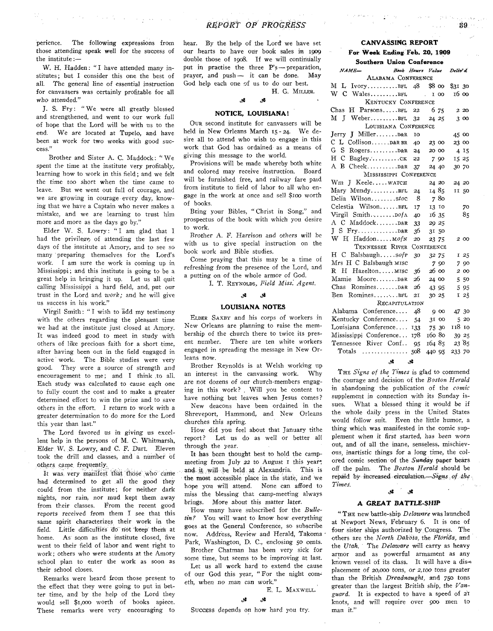perience. The following expressions from those attending speak well for the success of the institute:—

 $\mathcal{O}(\log n/\Delta)$  and

W. H. Hadden: " I have attended many institutes; but I consider this one the best of all. The general line of essential instruction for canvassers was certainly profitable for all who attended."

J. S. Fry: "We were all greatly blessed and strengthened, and went to our work full of hope that the Lord will be with us to the end. We are located at Tupelo, and have been at work for two weeks with good success."

Brother and Sister A. C. Maddock: " We spent the time at the institute very profitably, learning how to work in this field; and we felt the time too short when the time came to leave. But we went out full of courage, and we are growing in courage every day, knowing that we have a Captain who never makes a mistake, and we are learning to trust him more and more as the days go by."

Elder W. S. Lowry: "I am glad that I had the privilege, of attending the last few days of the institute at Amory, and to see so many preparing themselves for the Lord's work. I am sure the work is coming up in Mississippi; and this institute is going to be a great help in bringing it up. Let us all quit calling Mississippi a hard field, and, put our trust in the Lord and *work;* and he will give us success in his work."

Virgil Smith: " I wish to add my testimony with the others regarding the pleasant time we had at the institute just closed at Amory. It was indeed good to meet in study with others of like precious faith for a short time, after having been out in the field engaged in active work. The Bible studies were very good. They were a source of strength and encouragement to me; and I think .to all. Each study was calculated to cause each one to fully count the cost and to make a greater determined effort to win the prize and to save others in the effort. I return *to* work with a greater determination to do more for the Lord this year than last."

The Lord favored us in giving us excellent help in the persons of M. C. Whitmarsh, Elder. W. S. Lowry, and C. F. Dart. Eleven took the drill and classes, and a number of others, came, frequently.

It was. very manifest that those who came had determined to get all the good they could from the institute; for neither dark nights, nor rain, nor mud kept them away from their classes. Erom the recent good *reports* received from them I see that this same spirit characterizes their work in the field. Little difficulties do not keep them at home. As soon as the institute closed, five went to their field of labor and went right to work; others who were students at the Amory school plan to enter the work as soon as their school closes.

Remarks were heard from those present to the effect that they were going to put in better time, and by the help of the Lord they would sell \$1,000 worth of books apiece. These remarks were very encouraging to

hear. By the help of the Lord we have set our hearts to have our book sales in 1909 double those of 1908. If we will continually put in practise the three P's-preparation, prayer, and push — it can be done. May God help each one of us to do our best. H. G. MILLER.

# *Jt*

### **NOTICE, LOUISIANA!**

یو.

OUR second institute for canvassers will be held in New Orleans March 15 - 24. We desire all to attend who wish to engage in this work that God has ordained as a means of giving this message to the world.

Provisions will be made whereby both white and colored may receive instruction. Board will be furnished free, and railway fare paid from institute to field of labor to all who engage in the work at once and sell \$100 worth of books.

Bring your Bibles, " Christ in Song," and prospectus of the book with which you desire to work.

Brother A. F. Harrison *and others* will be with us to give special instruction on the book work and Bible studies.

Come praying that this may be a time of refreshing from the presence of the Lord, and a putting on of the whole armor of God.

I. T. REYNOLDS, Field Miss. Agent.

#### 8. قور.

### **LOUISIANA NOTES**

ELDER SAXBY and his corps of workers in New Orleans are planning to raise the membership of the church there to twice its present number. There are ten white workers engaged in spreading the message in New Orleans now.

Brother Reynolds is at Welsh working up an interest in the canvassing work. Why are *not* dozens of our church-members engaging in this work? . Will you be content to have nothing but leaves when Jesus comes?

New deacons have been ordained in the Shreveport, Hammond, and New Orleans churches this spring.

How did you feel about that January tithe report? Let us do as well or better all through the year.

It has been thought best to hold the campmeeting from July 22 to August I this year; and it will be held , at Alexandria, This is the most accessible place in the state, and we hope you will attend. None can afford to miss the blessing that camp-meeting always brings. More about this matter later.

How many have subscribed for the *Bulle*tin? You will want to know how everything goes at the General Conference, so subscribe now. Address, Review and Herald, Takoma Park, Washington, D. C., enclosing 50 cents.

Brother Chatman has been very sick for some time, but seems to be improving at last.

Let us all work hard to extend the cause of our God this year, " For the night cometh, when *no man* can work."

E. L. MAXWELL.

### *& Jt*

Success depends on how hard you try.

# **CANVASSING REPORT**

-39

### **For W eek Ending Feb. 20, 1909 Southern Union Conference**

| Doutnern Union Conference                     |                          |            |        |       |         |       |
|-----------------------------------------------|--------------------------|------------|--------|-------|---------|-------|
| NAME-                                         | Book Hours Value Deliv'd |            |        |       |         |       |
| ALABAMA CONFERENCE                            |                          |            |        |       |         |       |
| L IvoryBFL $48$ \$8 00<br>М                   |                          |            |        |       | \$31,30 |       |
| W C WalesBFL                                  |                          |            |        | 1 00  | 16 00   |       |
| KENTUCKY CONFERENCE                           |                          |            |        |       |         |       |
| $Chas$ H $~Parsons$ $BrL$                     |                          | 22         |        | 6 75  |         | 2 2 0 |
| M J WeberBFL                                  |                          | 32         | 24 25  |       |         | 300   |
| LOUISIANA CONFERENCE                          |                          |            |        |       |         |       |
| Jerry J MillerD&R                             |                          | 10         |        |       | 45 00   |       |
| C L CollisonD&R BR                            |                          | 40         | 23 00  |       | 23 00   |       |
| GS.<br>$Rogers$ $D\&R$                        |                          | 24         | 20 00  |       |         | 4 15  |
| ΗС<br>$Bagley. \ldots \ldots \ldots \ldots$   |                          | 22         |        | 7 9 0 |         | 15 25 |
| A B CheekD&R                                  |                          | 37         | 24 40  |       |         | 30 70 |
| MISSISSIPPI CONFERENCE                        |                          |            |        |       |         |       |
| Wm J Keelewarch                               |                          |            |        | 24 20 |         | 24 20 |
| Mary MundyBFL                                 |                          | 24         |        | 14 85 |         | II 50 |
| Delia Wilsonstoc                              |                          | -8         |        | 780   |         |       |
| Celestia WilsonBFL                            |                          | 17         |        | 13 10 |         | 70    |
| Virgil Smith DofA                             |                          | 40         |        | 16 35 |         | 85    |
| A C Maddock D&R                               |                          | 33         | 29 25  |       |         |       |
|                                               |                          | 36         |        | 31 50 |         |       |
| W H Haddon MofN                               |                          | 20         | 23 75  |       |         | 2 00  |
| TENNESSEE RIVER                               |                          | CONFERENCE |        |       |         |       |
| $H \, C$ Balsbaughsofp                        |                          | 30         |        | 32 75 |         | I 25  |
| Mrs H C Balsbaugh MISC                        |                          |            |        | 7 90  |         | 7 90  |
| R.<br>H Hazelton MISC                         |                          | 36         |        | 26 00 |         | 2 00  |
| Mamie MooreD&R                                |                          | 26         | 24 00  |       |         | 5 50  |
| Chas<br>$Romines \ldots \ldots \ldots \ldots$ |                          | 26         |        | 43 95 |         | 5 95  |
| Ben RominesBFL                                |                          | 21         |        | 30 25 |         | I 25  |
|                                               | RECAPITULATION           |            |        |       |         |       |
| Alabama Conference                            |                          | 48         |        | 900   |         | 47 30 |
| Kentucky Conference                           |                          | 54         |        | 31 00 |         | 520   |
| Louisiana Conference                          |                          | 133        |        | 75 30 | 118 10  |       |
| Mississippi Conference 178                    |                          |            | 160 80 |       |         | 39 25 |
| Tennessee River Conf                          |                          | 95         | 164 85 |       |         | 23 85 |
| $Totals$                                      |                          | 508        | 440 95 |       | 233 70  |       |

### **ی** وي

THE *Signs of the Times* is glad to commend the courage and decision of the *Boston Herald* in abandoning the publication of the *comic* supplement in connection with its Sunday issues. What a blessed thing it would be if the whole daily press in the United States would follow suit. Even the little humor, a thing which was manifested in the comic supplement when it first started, has been worn out; and of all the inane, senseless, mischievous, inartistic things for a long time, the colored comic section of the *Sunday* paper bears off the palm. The *Boston Herald* should be repaid by increased *circulation.— Signs of the Times.*

#### گلا. *' Jt*

### **A GREAT BATTLE SHIP**

" THE new battle-ship *Delaware* was launched at Newport News, February 6. It is one of four sister ships authorized by Congress. The others are the *North Dakota,* the *Florida*, and the *Utah.* The *Delaware* will carry as heavy armor and as powerful armament as any known vessel of its class. It will have a displacement of 20,000 tons, or *2,100* tons greater than the British *Dreadnought,* and 750 tons greater than the largest British ship, the *Vanguard.* It is expected to have a speed of *21* knots, and will require over 900 men to man it."